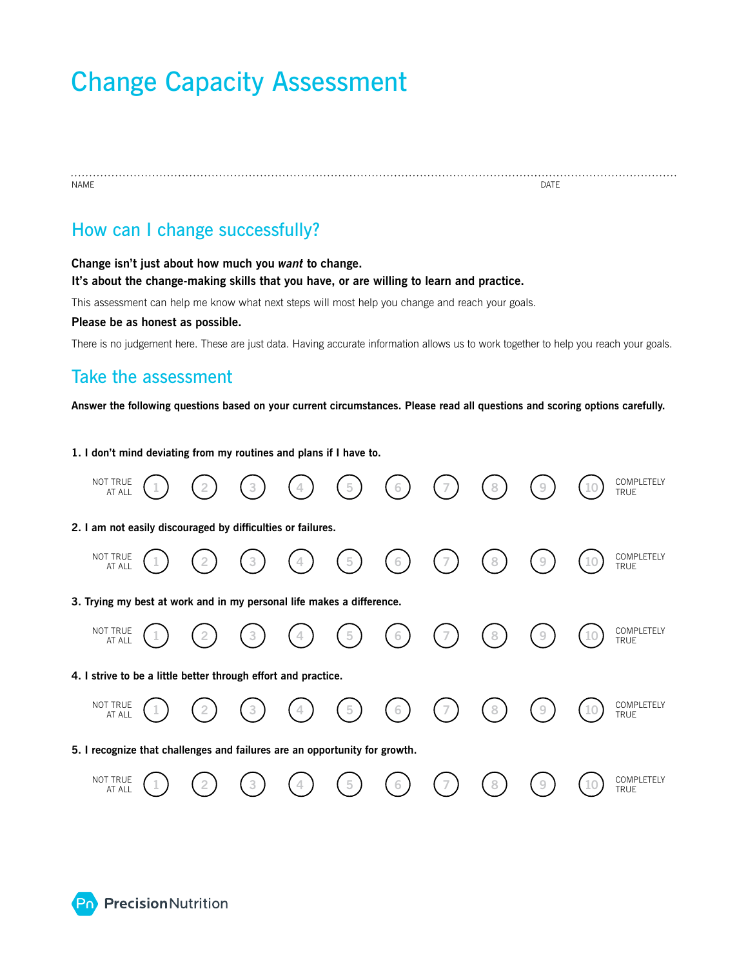# Change Capacity Assessment

name and the contract of the contract of the contract of the contract of the contract of the contract of the contract of the contract of the contract of the contract of the contract of the contract of the contract of the c

## How can I change successfully?

**Change isn't just about how much you** *want* **to change. It's about the change-making skills that you have, or are willing to learn and practice.** 

This assessment can help me know what next steps will most help you change and reach your goals.

#### **Please be as honest as possible.**

There is no judgement here. These are just data. Having accurate information allows us to work together to help you reach your goals.

### Take the assessment

**Answer the following questions based on your current circumstances. Please read all questions and scoring options carefully.**

**1. I don't mind deviating from my routines and plans if I have to.** 

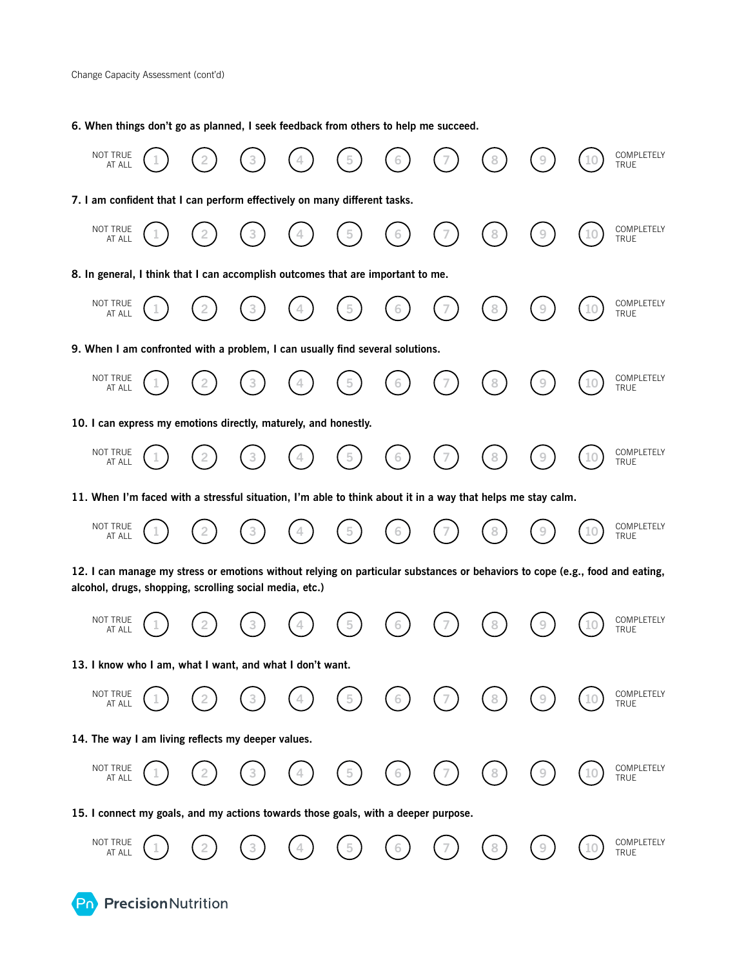**Pn** Precision Nutrition

**6. When things don't go as planned, I seek feedback from others to help me succeed.**